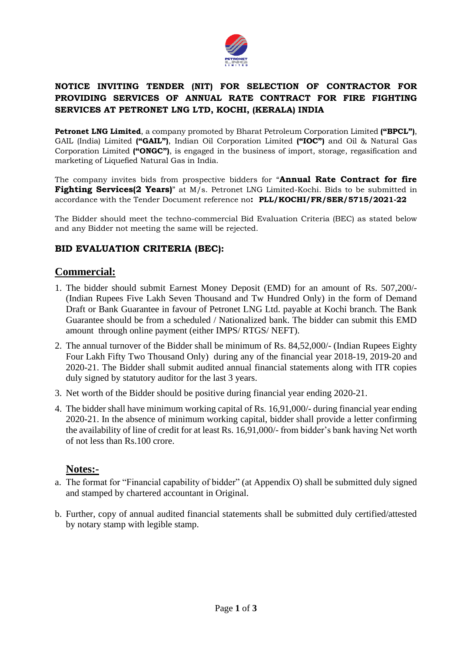

# **NOTICE INVITING TENDER (NIT) FOR SELECTION OF CONTRACTOR FOR PROVIDING SERVICES OF ANNUAL RATE CONTRACT FOR FIRE FIGHTING SERVICES AT PETRONET LNG LTD, KOCHI, (KERALA) INDIA**

**Petronet LNG Limited**, a company promoted by Bharat Petroleum Corporation Limited **("BPCL")**, GAIL (India) Limited **("GAIL")**, Indian Oil Corporation Limited **("IOC")** and Oil & Natural Gas Corporation Limited **("ONGC")**, is engaged in the business of import, storage, regasification and marketing of Liquefied Natural Gas in India.

The company invites bids from prospective bidders for "**Annual Rate Contract for fire Fighting Services(2 Years)**" at M/s. Petronet LNG Limited-Kochi. Bids to be submitted in accordance with the Tender Document reference no**: PLL/KOCHI/FR/SER/5715/2021-22**

The Bidder should meet the techno-commercial Bid Evaluation Criteria (BEC) as stated below and any Bidder not meeting the same will be rejected.

# **BID EVALUATION CRITERIA (BEC):**

# **Commercial:**

- 1. The bidder should submit Earnest Money Deposit (EMD) for an amount of Rs. 507,200/- (Indian Rupees Five Lakh Seven Thousand and Tw Hundred Only) in the form of Demand Draft or Bank Guarantee in favour of Petronet LNG Ltd. payable at Kochi branch. The Bank Guarantee should be from a scheduled / Nationalized bank. The bidder can submit this EMD amount through online payment (either IMPS/ RTGS/ NEFT).
- 2. The annual turnover of the Bidder shall be minimum of Rs. 84,52,000/- (Indian Rupees Eighty Four Lakh Fifty Two Thousand Only) during any of the financial year 2018-19, 2019-20 and 2020-21. The Bidder shall submit audited annual financial statements along with ITR copies duly signed by statutory auditor for the last 3 years.
- 3. Net worth of the Bidder should be positive during financial year ending 2020-21.
- 4. The bidder shall have minimum working capital of Rs. 16,91,000/- during financial year ending 2020-21. In the absence of minimum working capital, bidder shall provide a letter confirming the availability of line of credit for at least Rs. 16,91,000/- from bidder's bank having Net worth of not less than Rs.100 crore.

# **Notes:-**

- a. The format for "Financial capability of bidder" (at Appendix O) shall be submitted duly signed and stamped by chartered accountant in Original.
- b. Further, copy of annual audited financial statements shall be submitted duly certified/attested by notary stamp with legible stamp.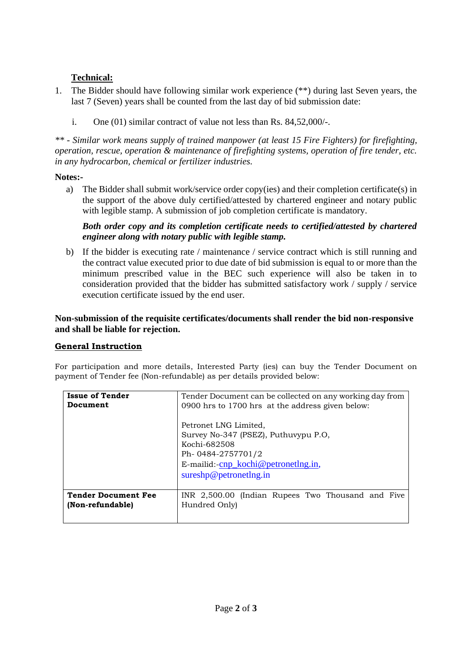# **Technical:**

- 1. The Bidder should have following similar work experience (\*\*) during last Seven years, the last 7 (Seven) years shall be counted from the last day of bid submission date:
	- i. One (01) similar contract of value not less than Rs. 84,52,000/-.

*\*\* - Similar work means supply of trained manpower (at least 15 Fire Fighters) for firefighting, operation, rescue, operation & maintenance of firefighting systems, operation of fire tender, etc. in any hydrocarbon, chemical or fertilizer industries.*

## **Notes:-**

a) The Bidder shall submit work/service order copy(ies) and their completion certificate(s) in the support of the above duly certified/attested by chartered engineer and notary public with legible stamp. A submission of job completion certificate is mandatory.

#### *Both order copy and its completion certificate needs to certified/attested by chartered engineer along with notary public with legible stamp.*

b) If the bidder is executing rate / maintenance / service contract which is still running and the contract value executed prior to due date of bid submission is equal to or more than the minimum prescribed value in the BEC such experience will also be taken in to consideration provided that the bidder has submitted satisfactory work / supply / service execution certificate issued by the end user.

## **Non-submission of the requisite certificates/documents shall render the bid non-responsive and shall be liable for rejection.**

## **General Instruction**

For participation and more details, Interested Party (ies) can buy the Tender Document on payment of Tender fee (Non-refundable) as per details provided below:

| <b>Issue of Tender</b>     | Tender Document can be collected on any working day from                                                                                                                                          |
|----------------------------|---------------------------------------------------------------------------------------------------------------------------------------------------------------------------------------------------|
| Document                   | 0900 hrs to 1700 hrs at the address given below:                                                                                                                                                  |
|                            | Petronet LNG Limited.<br>Survey No-347 (PSEZ), Puthuvypu P.O,<br>Kochi-682508<br>Ph-0484-2757701/2<br>E-mailid:- $\frac{\text{cnp}}{\text{kochi}\omega}$ petronetlng.in,<br>sureshp@petronethg.in |
| <b>Tender Document Fee</b> | INR 2,500.00 (Indian Rupees Two Thousand and Five                                                                                                                                                 |
| (Non-refundable)           | Hundred Only)                                                                                                                                                                                     |